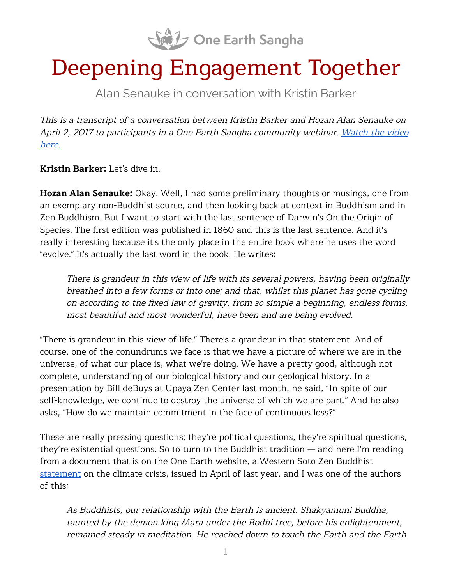

# Deepening Engagement Together

Alan Senauke in conversation with Kristin Barker

This is <sup>a</sup> transcript of <sup>a</sup> conversation between Kristin Barker and Hozan Alan Senauke on April 2, 2017 to participants in a One Earth Sangha community webinar. [Watch](https://oneearthsangha.org/articles/deepening-engagement-together/) the video [here.](https://oneearthsangha.org/articles/deepening-engagement-together/)

**Kristin Barker:** Let's dive in.

**Hozan Alan Senauke:** Okay. Well, I had some preliminary thoughts or musings, one from an exemplary non-Buddhist source, and then looking back at context in Buddhism and in Zen Buddhism. But I want to start with the last sentence of Darwin's On the Origin of Species. The first edition was published in 1860 and this is the last sentence. And it's really interesting because it's the only place in the entire book where he uses the word "evolve." It's actually the last word in the book. He writes:

There is grandeur in this view of life with its several powers, having been originally breathed into <sup>a</sup> few forms or into one; and that, whilst this planet has gone cycling on according to the fixed law of gravity, from so simple <sup>a</sup> beginning, endless forms, most beautiful and most wonderful, have been and are being evolved.

"There is grandeur in this view of life." There's a grandeur in that statement. And of course, one of the conundrums we face is that we have a picture of where we are in the universe, of what our place is, what we're doing. We have a pretty good, although not complete, understanding of our biological history and our geological history. In a presentation by Bill deBuys at Upaya Zen Center last month, he said, "In spite of our self-knowledge, we continue to destroy the universe of which we are part." And he also asks, "How do we maintain commitment in the face of continuous loss?"

These are really pressing questions; they're political questions, they're spiritual questions, they're existential questions. So to turn to the Buddhist tradition — and here I'm reading from a document that is on the One Earth website, a Western Soto Zen Buddhist [statement](https://oneearthsangha.org/articles/walking-the-boddhisatva-path/) on the climate crisis, issued in April of last year, and I was one of the authors of this:

As Buddhists, our relationship with the Earth is ancient. Shakyamuni Buddha, taunted by the demon king Mara under the Bodhi tree, before his enlightenment, remained steady in meditation. He reached down to touch the Earth and the Earth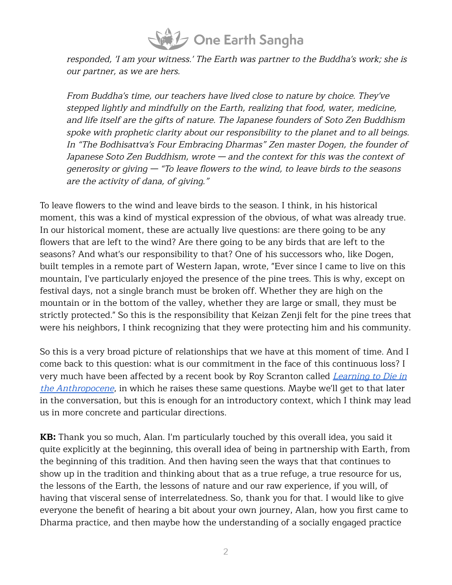

responded, 'I am your witness.' The Earth was partner to the Buddha's work; she is our partner, as we are hers.

From Buddha's time, our teachers have lived close to nature by choice. They've stepped lightly and mindfully on the Earth, realizing that food, water, medicine, and life itself are the gifts of nature. The Japanese founders of Soto Zen Buddhism spoke with prophetic clarity about our responsibility to the planet and to all beings. In "The Bodhisattva's Four Embracing Dharmas" Zen master Dogen, the founder of Japanese Soto Zen Buddhism, wrote — and the context for this was the context of generosity or giving — "To leave flowers to the wind, to leave birds to the seasons are the activity of dana, of giving."

To leave flowers to the wind and leave birds to the season. I think, in his historical moment, this was a kind of mystical expression of the obvious, of what was already true. In our historical moment, these are actually live questions: are there going to be any flowers that are left to the wind? Are there going to be any birds that are left to the seasons? And what's our responsibility to that? One of his successors who, like Dogen, built temples in a remote part of Western Japan, wrote, "Ever since I came to live on this mountain, I've particularly enjoyed the presence of the pine trees. This is why, except on festival days, not a single branch must be broken off. Whether they are high on the mountain or in the bottom of the valley, whether they are large or small, they must be strictly protected." So this is the responsibility that Keizan Zenji felt for the pine trees that were his neighbors, I think recognizing that they were protecting him and his community.

So this is a very broad picture of relationships that we have at this moment of time. And I come back to this question: what is our commitment in the face of this continuous loss? I very much have been affected by a recent book by Roy Scranton called *[Learning](https://citylights.com/open-media-series/learning-to-die-in-the-anthropocene/) to Die in* the [Anthropocene](https://citylights.com/open-media-series/learning-to-die-in-the-anthropocene/), in which he raises these same questions. Maybe we'll get to that later in the conversation, but this is enough for an introductory context, which I think may lead us in more concrete and particular directions.

**KB:** Thank you so much, Alan. I'm particularly touched by this overall idea, you said it quite explicitly at the beginning, this overall idea of being in partnership with Earth, from the beginning of this tradition. And then having seen the ways that that continues to show up in the tradition and thinking about that as a true refuge, a true resource for us, the lessons of the Earth, the lessons of nature and our raw experience, if you will, of having that visceral sense of interrelatedness. So, thank you for that. I would like to give everyone the benefit of hearing a bit about your own journey, Alan, how you first came to Dharma practice, and then maybe how the understanding of a socially engaged practice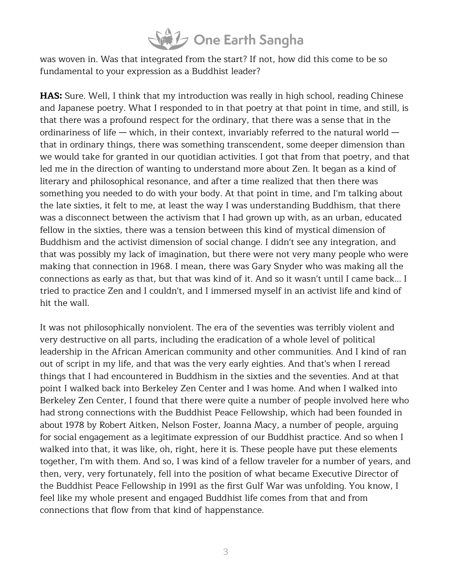#### **SAL** One Earth Sangha

was woven in. Was that integrated from the start? If not, how did this come to be so fundamental to your expression as a Buddhist leader?

**HAS:** Sure. Well, I think that my introduction was really in high school, reading Chinese and Japanese poetry. What I responded to in that poetry at that point in time, and still, is that there was a profound respect for the ordinary, that there was a sense that in the ordinariness of life — which, in their context, invariably referred to the natural world that in ordinary things, there was something transcendent, some deeper dimension than we would take for granted in our quotidian activities. I got that from that poetry, and that led me in the direction of wanting to understand more about Zen. It began as a kind of literary and philosophical resonance, and after a time realized that then there was something you needed to do with your body. At that point in time, and I'm talking about the late sixties, it felt to me, at least the way I was understanding Buddhism, that there was a disconnect between the activism that I had grown up with, as an urban, educated fellow in the sixties, there was a tension between this kind of mystical dimension of Buddhism and the activist dimension of social change. I didn't see any integration, and that was possibly my lack of imagination, but there were not very many people who were making that connection in 1968. I mean, there was Gary Snyder who was making all the connections as early as that, but that was kind of it. And so it wasn't until I came back... I tried to practice Zen and I couldn't, and I immersed myself in an activist life and kind of hit the wall.

It was not philosophically nonviolent. The era of the seventies was terribly violent and very destructive on all parts, including the eradication of a whole level of political leadership in the African American community and other communities. And I kind of ran out of script in my life, and that was the very early eighties. And that's when I reread things that I had encountered in Buddhism in the sixties and the seventies. And at that point I walked back into Berkeley Zen Center and I was home. And when I walked into Berkeley Zen Center, I found that there were quite a number of people involved here who had strong connections with the Buddhist Peace Fellowship, which had been founded in about 1978 by Robert Aitken, Nelson Foster, Joanna Macy, a number of people, arguing for social engagement as a legitimate expression of our Buddhist practice. And so when I walked into that, it was like, oh, right, here it is. These people have put these elements together, I'm with them. And so, I was kind of a fellow traveler for a number of years, and then, very, very fortunately, fell into the position of what became Executive Director of the Buddhist Peace Fellowship in 1991 as the first Gulf War was unfolding. You know, I feel like my whole present and engaged Buddhist life comes from that and from connections that flow from that kind of happenstance.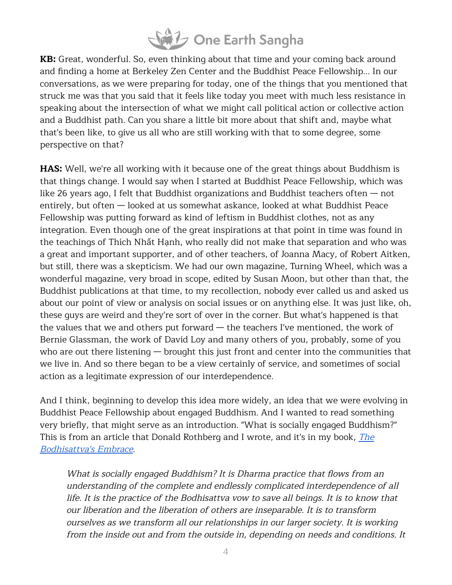

**KB:** Great, wonderful. So, even thinking about that time and your coming back around and finding a home at Berkeley Zen Center and the Buddhist Peace Fellowship... In our conversations, as we were preparing for today, one of the things that you mentioned that struck me was that you said that it feels like today you meet with much less resistance in speaking about the intersection of what we might call political action or collective action and a Buddhist path. Can you share a little bit more about that shift and, maybe what that's been like, to give us all who are still working with that to some degree, some perspective on that?

**HAS:** Well, we're all working with it because one of the great things about Buddhism is that things change. I would say when I started at Buddhist Peace Fellowship, which was like 26 years ago, I felt that Buddhist organizations and Buddhist teachers often — not entirely, but often — looked at us somewhat askance, looked at what Buddhist Peace Fellowship was putting forward as kind of leftism in Buddhist clothes, not as any integration. Even though one of the great inspirations at that point in time was found in the teachings of Thích Nhất Hạnh, who really did not make that separation and who was a great and important supporter, and of other teachers, of Joanna Macy, of Robert Aitken, but still, there was a skepticism. We had our own magazine, Turning Wheel, which was a wonderful magazine, very broad in scope, edited by Susan Moon, but other than that, the Buddhist publications at that time, to my recollection, nobody ever called us and asked us about our point of view or analysis on social issues or on anything else. It was just like, oh, these guys are weird and they're sort of over in the corner. But what's happened is that the values that we and others put forward — the teachers I've mentioned, the work of Bernie Glassman, the work of David Loy and many others of you, probably, some of you who are out there listening — brought this just front and center into the communities that we live in. And so there began to be a view certainly of service, and sometimes of social action as a legitimate expression of our interdependence.

And I think, beginning to develop this idea more widely, an idea that we were evolving in Buddhist Peace Fellowship about engaged Buddhism. And I wanted to read something very briefly, that might serve as an introduction. "What is socially engaged Buddhism?" This is from an article that Donald Rothberg and I wrote, and it's in my book, *[The](https://www.clearviewproject.org/shop/bodhisattvas-embrace/)* [Bodhisattva's](https://www.clearviewproject.org/shop/bodhisattvas-embrace/) Embrace.

What is socially engaged Buddhism? It is Dharma practice that flows from an understanding of the complete and endlessly complicated interdependence of all life. It is the practice of the Bodhisattva vow to save all beings. It is to know that our liberation and the liberation of others are inseparable. It is to transform ourselves as we transform all our relationships in our larger society. It is working from the inside out and from the outside in, depending on needs and conditions. It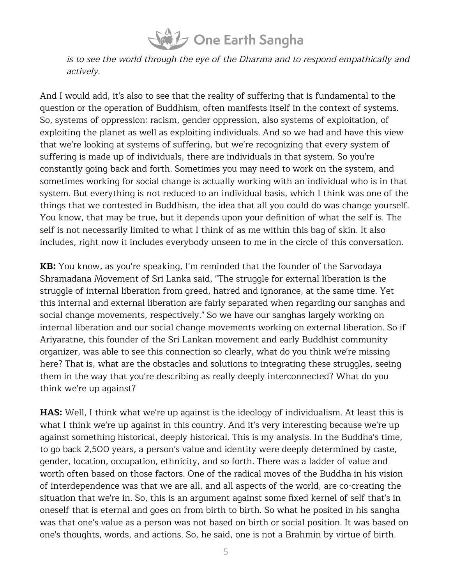

is to see the world through the eye of the Dharma and to respond empathically and actively.

And I would add, it's also to see that the reality of suffering that is fundamental to the question or the operation of Buddhism, often manifests itself in the context of systems. So, systems of oppression: racism, gender oppression, also systems of exploitation, of exploiting the planet as well as exploiting individuals. And so we had and have this view that we're looking at systems of suffering, but we're recognizing that every system of suffering is made up of individuals, there are individuals in that system. So you're constantly going back and forth. Sometimes you may need to work on the system, and sometimes working for social change is actually working with an individual who is in that system. But everything is not reduced to an individual basis, which I think was one of the things that we contested in Buddhism, the idea that all you could do was change yourself. You know, that may be true, but it depends upon your definition of what the self is. The self is not necessarily limited to what I think of as me within this bag of skin. It also includes, right now it includes everybody unseen to me in the circle of this conversation.

**KB:** You know, as you're speaking, I'm reminded that the founder of the Sarvodaya Shramadana Movement of Sri Lanka said, "The struggle for external liberation is the struggle of internal liberation from greed, hatred and ignorance, at the same time. Yet this internal and external liberation are fairly separated when regarding our sanghas and social change movements, respectively." So we have our sanghas largely working on internal liberation and our social change movements working on external liberation. So if Ariyaratne, this founder of the Sri Lankan movement and early Buddhist community organizer, was able to see this connection so clearly, what do you think we're missing here? That is, what are the obstacles and solutions to integrating these struggles, seeing them in the way that you're describing as really deeply interconnected? What do you think we're up against?

**HAS:** Well, I think what we're up against is the ideology of individualism. At least this is what I think we're up against in this country. And it's very interesting because we're up against something historical, deeply historical. This is my analysis. In the Buddha's time, to go back 2,500 years, a person's value and identity were deeply determined by caste, gender, location, occupation, ethnicity, and so forth. There was a ladder of value and worth often based on those factors. One of the radical moves of the Buddha in his vision of interdependence was that we are all, and all aspects of the world, are co-creating the situation that we're in. So, this is an argument against some fixed kernel of self that's in oneself that is eternal and goes on from birth to birth. So what he posited in his sangha was that one's value as a person was not based on birth or social position. It was based on one's thoughts, words, and actions. So, he said, one is not a Brahmin by virtue of birth.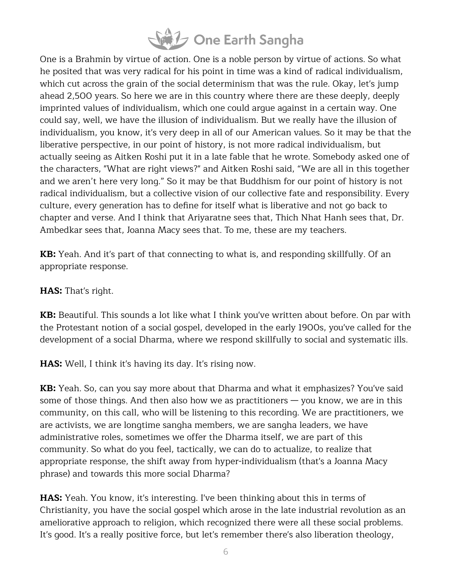

One is a Brahmin by virtue of action. One is a noble person by virtue of actions. So what he posited that was very radical for his point in time was a kind of radical individualism, which cut across the grain of the social determinism that was the rule. Okay, let's jump ahead 2,500 years. So here we are in this country where there are these deeply, deeply imprinted values of individualism, which one could argue against in a certain way. One could say, well, we have the illusion of individualism. But we really have the illusion of individualism, you know, it's very deep in all of our American values. So it may be that the liberative perspective, in our point of history, is not more radical individualism, but actually seeing as Aitken Roshi put it in a late fable that he wrote. Somebody asked one of the characters, "What are right views?" and Aitken Roshi said, "We are all in this together and we aren't here very long." So it may be that Buddhism for our point of history is not radical individualism, but a collective vision of our collective fate and responsibility. Every culture, every generation has to define for itself what is liberative and not go back to chapter and verse. And I think that Ariyaratne sees that, Thich Nhat Hanh sees that, Dr. Ambedkar sees that, Joanna Macy sees that. To me, these are my teachers.

**KB:** Yeah. And it's part of that connecting to what is, and responding skillfully. Of an appropriate response.

#### **HAS:** That's right.

**KB:** Beautiful. This sounds a lot like what I think you've written about before. On par with the Protestant notion of a social gospel, developed in the early 1900s, you've called for the development of a social Dharma, where we respond skillfully to social and systematic ills.

**HAS:** Well, I think it's having its day. It's rising now.

**KB:** Yeah. So, can you say more about that Dharma and what it emphasizes? You've said some of those things. And then also how we as practitioners  $-$  you know, we are in this community, on this call, who will be listening to this recording. We are practitioners, we are activists, we are longtime sangha members, we are sangha leaders, we have administrative roles, sometimes we offer the Dharma itself, we are part of this community. So what do you feel, tactically, we can do to actualize, to realize that appropriate response, the shift away from hyper-individualism (that's a Joanna Macy phrase) and towards this more social Dharma?

**HAS:** Yeah. You know, it's interesting. I've been thinking about this in terms of Christianity, you have the social gospel which arose in the late industrial revolution as an ameliorative approach to religion, which recognized there were all these social problems. It's good. It's a really positive force, but let's remember there's also liberation theology,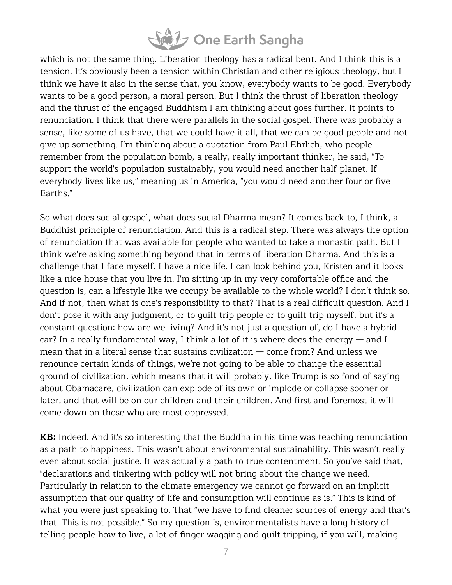## One Earth Sangha

which is not the same thing. Liberation theology has a radical bent. And I think this is a tension. It's obviously been a tension within Christian and other religious theology, but I think we have it also in the sense that, you know, everybody wants to be good. Everybody wants to be a good person, a moral person. But I think the thrust of liberation theology and the thrust of the engaged Buddhism I am thinking about goes further. It points to renunciation. I think that there were parallels in the social gospel. There was probably a sense, like some of us have, that we could have it all, that we can be good people and not give up something. I'm thinking about a quotation from Paul Ehrlich, who people remember from the population bomb, a really, really important thinker, he said, "To support the world's population sustainably, you would need another half planet. If everybody lives like us," meaning us in America, "you would need another four or five Earths."

So what does social gospel, what does social Dharma mean? It comes back to, I think, a Buddhist principle of renunciation. And this is a radical step. There was always the option of renunciation that was available for people who wanted to take a monastic path. But I think we're asking something beyond that in terms of liberation Dharma. And this is a challenge that I face myself. I have a nice life. I can look behind you, Kristen and it looks like a nice house that you live in. I'm sitting up in my very comfortable office and the question is, can a lifestyle like we occupy be available to the whole world? I don't think so. And if not, then what is one's responsibility to that? That is a real difficult question. And I don't pose it with any judgment, or to guilt trip people or to guilt trip myself, but it's a constant question: how are we living? And it's not just a question of, do I have a hybrid car? In a really fundamental way, I think a lot of it is where does the energy  $-$  and I mean that in a literal sense that sustains civilization — come from? And unless we renounce certain kinds of things, we're not going to be able to change the essential ground of civilization, which means that it will probably, like Trump is so fond of saying about Obamacare, civilization can explode of its own or implode or collapse sooner or later, and that will be on our children and their children. And first and foremost it will come down on those who are most oppressed.

**KB:** Indeed. And it's so interesting that the Buddha in his time was teaching renunciation as a path to happiness. This wasn't about environmental sustainability. This wasn't really even about social justice. It was actually a path to true contentment. So you've said that, "declarations and tinkering with policy will not bring about the change we need. Particularly in relation to the climate emergency we cannot go forward on an implicit assumption that our quality of life and consumption will continue as is." This is kind of what you were just speaking to. That "we have to find cleaner sources of energy and that's that. This is not possible." So my question is, environmentalists have a long history of telling people how to live, a lot of finger wagging and guilt tripping, if you will, making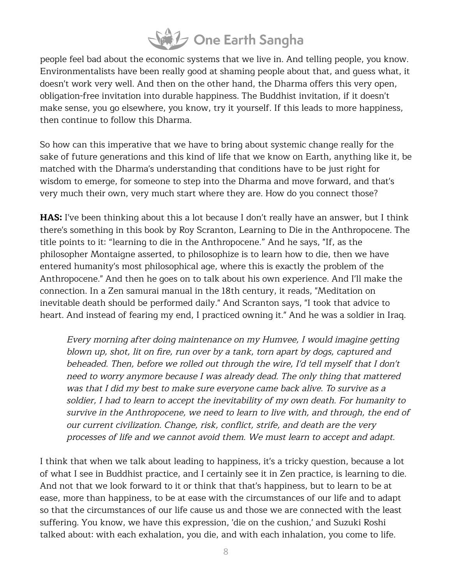## Sal One Earth Sangha

people feel bad about the economic systems that we live in. And telling people, you know. Environmentalists have been really good at shaming people about that, and guess what, it doesn't work very well. And then on the other hand, the Dharma offers this very open, obligation-free invitation into durable happiness. The Buddhist invitation, if it doesn't make sense, you go elsewhere, you know, try it yourself. If this leads to more happiness, then continue to follow this Dharma.

So how can this imperative that we have to bring about systemic change really for the sake of future generations and this kind of life that we know on Earth, anything like it, be matched with the Dharma's understanding that conditions have to be just right for wisdom to emerge, for someone to step into the Dharma and move forward, and that's very much their own, very much start where they are. How do you connect those?

**HAS:** I've been thinking about this a lot because I don't really have an answer, but I think there's something in this book by Roy Scranton, Learning to Die in the Anthropocene. The title points to it: "learning to die in the Anthropocene." And he says, "If, as the philosopher Montaigne asserted, to philosophize is to learn how to die, then we have entered humanity's most philosophical age, where this is exactly the problem of the Anthropocene." And then he goes on to talk about his own experience. And I'll make the connection. In a Zen samurai manual in the 18th century, it reads, "Meditation on inevitable death should be performed daily." And Scranton says, "I took that advice to heart. And instead of fearing my end, I practiced owning it." And he was a soldier in Iraq.

Every morning after doing maintenance on my Humvee, I would imagine getting blown up, shot, lit on fire, run over by <sup>a</sup> tank, torn apart by dogs, captured and beheaded. Then, before we rolled out through the wire, I'd tell myself that I don't need to worry anymore because I was already dead. The only thing that mattered was that I did my best to make sure everyone came back alive. To survive as <sup>a</sup> soldier, I had to learn to accept the inevitability of my own death. For humanity to survive in the Anthropocene, we need to learn to live with, and through, the end of our current civilization. Change, risk, conflict, strife, and death are the very processes of life and we cannot avoid them. We must learn to accept and adapt.

I think that when we talk about leading to happiness, it's a tricky question, because a lot of what I see in Buddhist practice, and I certainly see it in Zen practice, is learning to die. And not that we look forward to it or think that that's happiness, but to learn to be at ease, more than happiness, to be at ease with the circumstances of our life and to adapt so that the circumstances of our life cause us and those we are connected with the least suffering. You know, we have this expression, 'die on the cushion,' and Suzuki Roshi talked about: with each exhalation, you die, and with each inhalation, you come to life.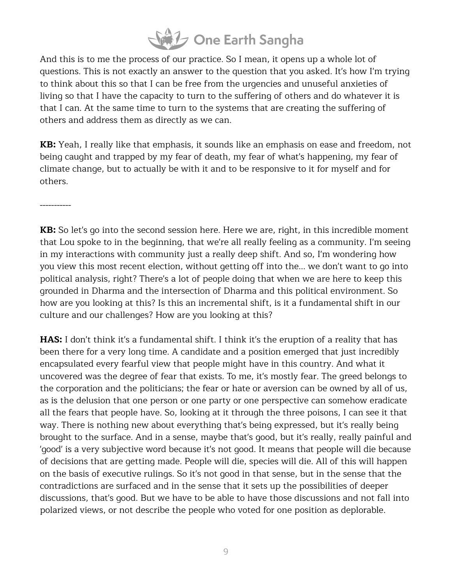## Sal One Earth Sangha

And this is to me the process of our practice. So I mean, it opens up a whole lot of questions. This is not exactly an answer to the question that you asked. It's how I'm trying to think about this so that I can be free from the urgencies and unuseful anxieties of living so that I have the capacity to turn to the suffering of others and do whatever it is that I can. At the same time to turn to the systems that are creating the suffering of others and address them as directly as we can.

**KB:** Yeah, I really like that emphasis, it sounds like an emphasis on ease and freedom, not being caught and trapped by my fear of death, my fear of what's happening, my fear of climate change, but to actually be with it and to be responsive to it for myself and for others.

-----------

**KB:** So let's go into the second session here. Here we are, right, in this incredible moment that Lou spoke to in the beginning, that we're all really feeling as a community. I'm seeing in my interactions with community just a really deep shift. And so, I'm wondering how you view this most recent election, without getting off into the... we don't want to go into political analysis, right? There's a lot of people doing that when we are here to keep this grounded in Dharma and the intersection of Dharma and this political environment. So how are you looking at this? Is this an incremental shift, is it a fundamental shift in our culture and our challenges? How are you looking at this?

**HAS:** I don't think it's a fundamental shift. I think it's the eruption of a reality that has been there for a very long time. A candidate and a position emerged that just incredibly encapsulated every fearful view that people might have in this country. And what it uncovered was the degree of fear that exists. To me, it's mostly fear. The greed belongs to the corporation and the politicians; the fear or hate or aversion can be owned by all of us, as is the delusion that one person or one party or one perspective can somehow eradicate all the fears that people have. So, looking at it through the three poisons, I can see it that way. There is nothing new about everything that's being expressed, but it's really being brought to the surface. And in a sense, maybe that's good, but it's really, really painful and 'good' is a very subjective word because it's not good. It means that people will die because of decisions that are getting made. People will die, species will die. All of this will happen on the basis of executive rulings. So it's not good in that sense, but in the sense that the contradictions are surfaced and in the sense that it sets up the possibilities of deeper discussions, that's good. But we have to be able to have those discussions and not fall into polarized views, or not describe the people who voted for one position as deplorable.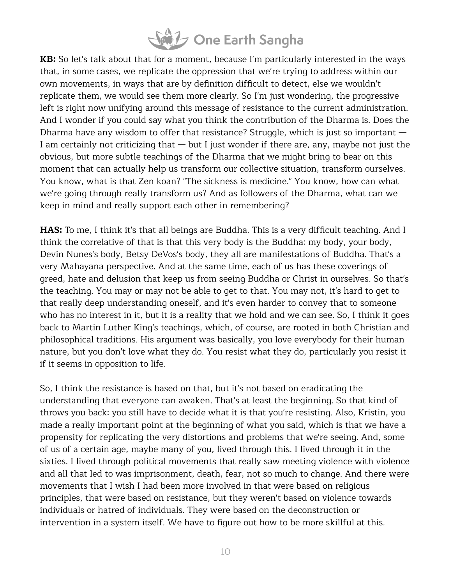

**KB:** So let's talk about that for a moment, because I'm particularly interested in the ways that, in some cases, we replicate the oppression that we're trying to address within our own movements, in ways that are by definition difficult to detect, else we wouldn't replicate them, we would see them more clearly. So I'm just wondering, the progressive left is right now unifying around this message of resistance to the current administration. And I wonder if you could say what you think the contribution of the Dharma is. Does the Dharma have any wisdom to offer that resistance? Struggle, which is just so important  $-$ I am certainly not criticizing that  $-$  but I just wonder if there are, any, maybe not just the obvious, but more subtle teachings of the Dharma that we might bring to bear on this moment that can actually help us transform our collective situation, transform ourselves. You know, what is that Zen koan? "The sickness is medicine." You know, how can what we're going through really transform us? And as followers of the Dharma, what can we keep in mind and really support each other in remembering?

**HAS:** To me, I think it's that all beings are Buddha. This is a very difficult teaching. And I think the correlative of that is that this very body is the Buddha: my body, your body, Devin Nunes's body, Betsy DeVos's body, they all are manifestations of Buddha. That's a very Mahayana perspective. And at the same time, each of us has these coverings of greed, hate and delusion that keep us from seeing Buddha or Christ in ourselves. So that's the teaching. You may or may not be able to get to that. You may not, it's hard to get to that really deep understanding oneself, and it's even harder to convey that to someone who has no interest in it, but it is a reality that we hold and we can see. So, I think it goes back to Martin Luther King's teachings, which, of course, are rooted in both Christian and philosophical traditions. His argument was basically, you love everybody for their human nature, but you don't love what they do. You resist what they do, particularly you resist it if it seems in opposition to life.

So, I think the resistance is based on that, but it's not based on eradicating the understanding that everyone can awaken. That's at least the beginning. So that kind of throws you back: you still have to decide what it is that you're resisting. Also, Kristin, you made a really important point at the beginning of what you said, which is that we have a propensity for replicating the very distortions and problems that we're seeing. And, some of us of a certain age, maybe many of you, lived through this. I lived through it in the sixties. I lived through political movements that really saw meeting violence with violence and all that led to was imprisonment, death, fear, not so much to change. And there were movements that I wish I had been more involved in that were based on religious principles, that were based on resistance, but they weren't based on violence towards individuals or hatred of individuals. They were based on the deconstruction or intervention in a system itself. We have to figure out how to be more skillful at this.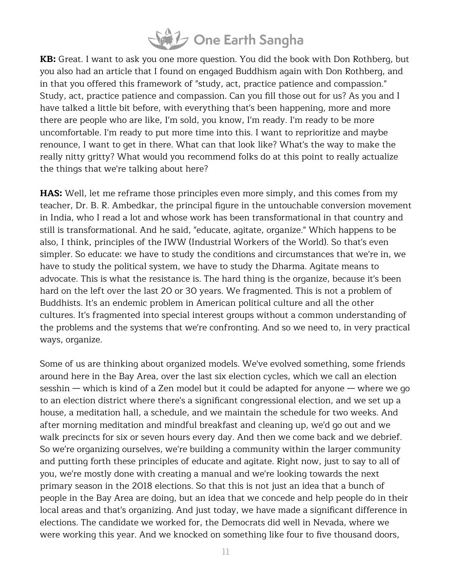

**KB:** Great. I want to ask you one more question. You did the book with Don Rothberg, but you also had an article that I found on engaged Buddhism again with Don Rothberg, and in that you offered this framework of "study, act, practice patience and compassion." Study, act, practice patience and compassion. Can you fill those out for us? As you and I have talked a little bit before, with everything that's been happening, more and more there are people who are like, I'm sold, you know, I'm ready. I'm ready to be more uncomfortable. I'm ready to put more time into this. I want to reprioritize and maybe renounce, I want to get in there. What can that look like? What's the way to make the really nitty gritty? What would you recommend folks do at this point to really actualize the things that we're talking about here?

**HAS:** Well, let me reframe those principles even more simply, and this comes from my teacher, Dr. B. R. Ambedkar, the principal figure in the untouchable conversion movement in India, who I read a lot and whose work has been transformational in that country and still is transformational. And he said, "educate, agitate, organize." Which happens to be also, I think, principles of the IWW (Industrial Workers of the World). So that's even simpler. So educate: we have to study the conditions and circumstances that we're in, we have to study the political system, we have to study the Dharma. Agitate means to advocate. This is what the resistance is. The hard thing is the organize, because it's been hard on the left over the last 20 or 30 years. We fragmented. This is not a problem of Buddhists. It's an endemic problem in American political culture and all the other cultures. It's fragmented into special interest groups without a common understanding of the problems and the systems that we're confronting. And so we need to, in very practical ways, organize.

Some of us are thinking about organized models. We've evolved something, some friends around here in the Bay Area, over the last six election cycles, which we call an election sesshin — which is kind of a Zen model but it could be adapted for anyone — where we go to an election district where there's a significant congressional election, and we set up a house, a meditation hall, a schedule, and we maintain the schedule for two weeks. And after morning meditation and mindful breakfast and cleaning up, we'd go out and we walk precincts for six or seven hours every day. And then we come back and we debrief. So we're organizing ourselves, we're building a community within the larger community and putting forth these principles of educate and agitate. Right now, just to say to all of you, we're mostly done with creating a manual and we're looking towards the next primary season in the 2018 elections. So that this is not just an idea that a bunch of people in the Bay Area are doing, but an idea that we concede and help people do in their local areas and that's organizing. And just today, we have made a significant difference in elections. The candidate we worked for, the Democrats did well in Nevada, where we were working this year. And we knocked on something like four to five thousand doors,